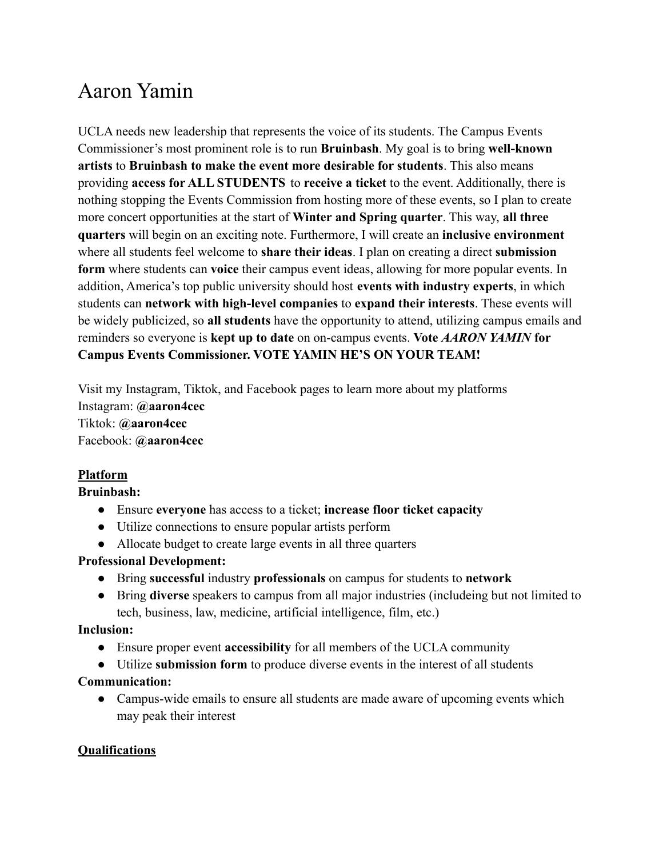# Aaron Yamin

UCLA needs new leadership that represents the voice of its students. The Campus Events Commissioner's most prominent role is to run **Bruinbash**. My goal is to bring **well-known artists** to **Bruinbash to make the event more desirable for students**. This also means providing **access for ALL STUDENTS** to **receive a ticket** to the event. Additionally, there is nothing stopping the Events Commission from hosting more of these events, so I plan to create more concert opportunities at the start of **Winter and Spring quarter**. This way, **all three quarters** will begin on an exciting note. Furthermore, I will create an **inclusive environment** where all students feel welcome to **share their ideas**. I plan on creating a direct **submission form** where students can **voice** their campus event ideas, allowing for more popular events. In addition, America's top public university should host **events with industry experts**, in which students can **network with high-level companies** to **expand their interests**. These events will be widely publicized, so **all students** have the opportunity to attend, utilizing campus emails and reminders so everyone is **kept up to date** on on-campus events. **Vote** *AARON YAMIN* **for Campus Events Commissioner. VOTE YAMIN HE'S ON YOUR TEAM!**

Visit my Instagram, Tiktok, and Facebook pages to learn more about my platforms Instagram: **@aaron4cec** Tiktok: **@aaron4cec** Facebook: **@aaron4cec**

# **Platform**

## **Bruinbash:**

- Ensure **everyone** has access to a ticket; **increase floor ticket capacity**
- Utilize connections to ensure popular artists perform
- Allocate budget to create large events in all three quarters

#### **Professional Development:**

- **●** Bring **successful** industry **professionals** on campus for students to **network**
- Bring **diverse** speakers to campus from all major industries (includeing but not limited to tech, business, law, medicine, artificial intelligence, film, etc.)

#### **Inclusion:**

- Ensure proper event **accessibility** for all members of the UCLA community
- Utilize **submission form** to produce diverse events in the interest of all students

## **Communication:**

• Campus-wide emails to ensure all students are made aware of upcoming events which may peak their interest

#### **Qualifications**